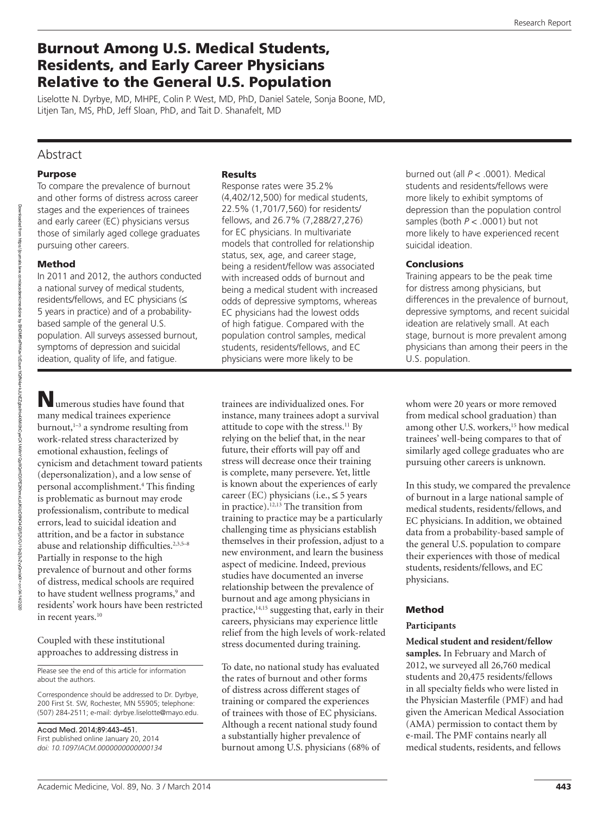# Burnout Among U.S. Medical Students, Residents, and Early Career Physicians Relative to the General U.S. Population

Liselotte N. Dyrbye, MD, MHPE, Colin P. West, MD, PhD, Daniel Satele, Sonja Boone, MD, Litjen Tan, MS, PhD, Jeff Sloan, PhD, and Tait D. Shanafelt, MD

## Abstract

### Purpose

To compare the prevalence of burnout and other forms of distress across career stages and the experiences of trainees and early career (EC) physicians versus those of similarly aged college graduates pursuing other careers.

### Method

In 2011 and 2012, the authors conducted a national survey of medical students, residents/fellows, and EC physicians (≤ 5 years in practice) and of a probabilitybased sample of the general U.S. population. All surveys assessed burnout, symptoms of depression and suicidal ideation, quality of life, and fatigue.

Numerous studies have found that many medical trainees experience burnout,<sup>1-3</sup> a syndrome resulting from work-related stress characterized by emotional exhaustion, feelings of cynicism and detachment toward patients (depersonalization), and a low sense of personal accomplishment.4 This finding is problematic as burnout may erode professionalism, contribute to medical errors, lead to suicidal ideation and attrition, and be a factor in substance abuse and relationship difficulties.<sup>2,3,5-8</sup> Partially in response to the high prevalence of burnout and other forms of distress, medical schools are required to have student wellness programs,<sup>9</sup> and residents' work hours have been restricted in recent years.<sup>10</sup>

### Coupled with these institutional approaches to addressing distress in

Please see the end of this article for information about the authors.

Correspondence should be addressed to Dr. Dyrbye, 200 First St. SW, Rochester, MN 55905; telephone: (507) 284-2511; e-mail: [dyrbye.liselotte@mayo.edu](mailto:dyrbye.liselotte@mayo.edu).

Acad Med. 2014;89:443–451. First published online January 20, 2014 *doi: 10.1097/ACM.0000000000000134*

#### Results

Response rates were 35.2% (4,402/12,500) for medical students, 22.5% (1,701/7,560) for residents/ fellows, and 26.7% (7,288/27,276) for EC physicians. In multivariate models that controlled for relationship status, sex, age, and career stage, being a resident/fellow was associated with increased odds of burnout and being a medical student with increased odds of depressive symptoms, whereas EC physicians had the lowest odds of high fatigue. Compared with the population control samples, medical students, residents/fellows, and EC physicians were more likely to be

trainees are individualized ones. For instance, many trainees adopt a survival attitude to cope with the stress.<sup>11</sup> By relying on the belief that, in the near future, their efforts will pay off and stress will decrease once their training is complete, many persevere. Yet, little is known about the experiences of early career (EC) physicians (i.e.,  $\leq$  5 years in practice).<sup>12,13</sup> The transition from training to practice may be a particularly challenging time as physicians establish themselves in their profession, adjust to a new environment, and learn the business aspect of medicine. Indeed, previous studies have documented an inverse relationship between the prevalence of burnout and age among physicians in practice,<sup>14,15</sup> suggesting that, early in their careers, physicians may experience little relief from the high levels of work-related stress documented during training.

To date, no national study has evaluated the rates of burnout and other forms of distress across different stages of training or compared the experiences of trainees with those of EC physicians. Although a recent national study found a substantially higher prevalence of burnout among U.S. physicians (68% of burned out (all *P* < .0001). Medical students and residents/fellows were more likely to exhibit symptoms of depression than the population control samples (both *P* < .0001) but not more likely to have experienced recent suicidal ideation.

### **Conclusions**

Training appears to be the peak time for distress among physicians, but differences in the prevalence of burnout, depressive symptoms, and recent suicidal ideation are relatively small. At each stage, burnout is more prevalent among physicians than among their peers in the U.S. population.

whom were 20 years or more removed from medical school graduation) than among other U.S. workers,<sup>15</sup> how medical trainees' well-being compares to that of similarly aged college graduates who are pursuing other careers is unknown.

In this study, we compared the prevalence of burnout in a large national sample of medical students, residents/fellows, and EC physicians. In addition, we obtained data from a probability-based sample of the general U.S. population to compare their experiences with those of medical students, residents/fellows, and EC physicians.

## Method

### **Participants**

**Medical student and resident/fellow samples.** In February and March of 2012, we surveyed all 26,760 medical students and 20,475 residents/fellows in all specialty fields who were listed in the Physician Masterfile (PMF) and had given the American Medical Association (AMA) permission to contact them by e-mail. The PMF contains nearly all medical students, residents, and fellows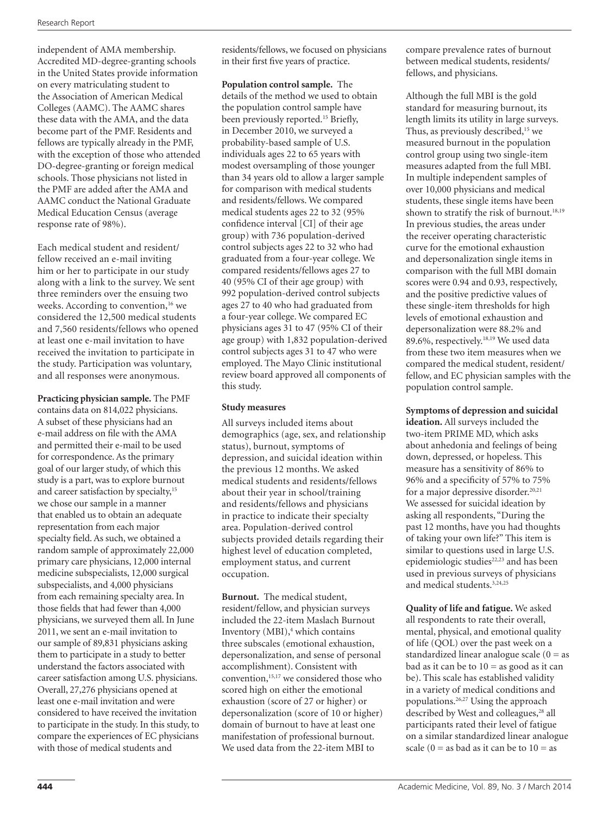independent of AMA membership. Accredited MD-degree-granting schools in the United States provide information on every matriculating student to the Association of American Medical Colleges (AAMC). The AAMC shares these data with the AMA, and the data become part of the PMF. Residents and fellows are typically already in the PMF, with the exception of those who attended DO-degree-granting or foreign medical schools. Those physicians not listed in the PMF are added after the AMA and AAMC conduct the National Graduate Medical Education Census (average response rate of 98%).

Each medical student and resident/ fellow received an e-mail inviting him or her to participate in our study along with a link to the survey. We sent three reminders over the ensuing two weeks. According to convention,<sup>16</sup> we considered the 12,500 medical students and 7,560 residents/fellows who opened at least one e-mail invitation to have received the invitation to participate in the study. Participation was voluntary, and all responses were anonymous.

**Practicing physician sample.** The PMF contains data on 814,022 physicians. A subset of these physicians had an e-mail address on file with the AMA and permitted their e-mail to be used for correspondence. As the primary goal of our larger study, of which this study is a part, was to explore burnout and career satisfaction by specialty,15 we chose our sample in a manner that enabled us to obtain an adequate representation from each major specialty field. As such, we obtained a random sample of approximately 22,000 primary care physicians, 12,000 internal medicine subspecialists, 12,000 surgical subspecialists, and 4,000 physicians from each remaining specialty area. In those fields that had fewer than 4,000 physicians, we surveyed them all. In June 2011, we sent an e-mail invitation to our sample of 89,831 physicians asking them to participate in a study to better understand the factors associated with career satisfaction among U.S. physicians. Overall, 27,276 physicians opened at least one e-mail invitation and were considered to have received the invitation to participate in the study. In this study, to compare the experiences of EC physicians with those of medical students and

residents/fellows, we focused on physicians in their first five years of practice.

**Population control sample.** The details of the method we used to obtain the population control sample have been previously reported.<sup>15</sup> Briefly, in December 2010, we surveyed a probability-based sample of U.S. individuals ages 22 to 65 years with modest oversampling of those younger than 34 years old to allow a larger sample for comparison with medical students and residents/fellows. We compared medical students ages 22 to 32 (95% confidence interval [CI] of their age group) with 736 population-derived control subjects ages 22 to 32 who had graduated from a four-year college. We compared residents/fellows ages 27 to 40 (95% CI of their age group) with 992 population-derived control subjects ages 27 to 40 who had graduated from a four-year college. We compared EC physicians ages 31 to 47 (95% CI of their age group) with 1,832 population-derived control subjects ages 31 to 47 who were employed. The Mayo Clinic institutional review board approved all components of this study.

#### **Study measures**

All surveys included items about demographics (age, sex, and relationship status), burnout, symptoms of depression, and suicidal ideation within the previous 12 months. We asked medical students and residents/fellows about their year in school/training and residents/fellows and physicians in practice to indicate their specialty area. Population-derived control subjects provided details regarding their highest level of education completed, employment status, and current occupation.

**Burnout.** The medical student, resident/fellow, and physician surveys included the 22-item Maslach Burnout Inventory (MBI),<sup>4</sup> which contains three subscales (emotional exhaustion, depersonalization, and sense of personal accomplishment). Consistent with convention,<sup>15,17</sup> we considered those who scored high on either the emotional exhaustion (score of 27 or higher) or depersonalization (score of 10 or higher) domain of burnout to have at least one manifestation of professional burnout. We used data from the 22-item MBI to

compare prevalence rates of burnout between medical students, residents/ fellows, and physicians.

Although the full MBI is the gold standard for measuring burnout, its length limits its utility in large surveys. Thus, as previously described,<sup>15</sup> we measured burnout in the population control group using two single-item measures adapted from the full MBI. In multiple independent samples of over 10,000 physicians and medical students, these single items have been shown to stratify the risk of burnout.<sup>18,19</sup> In previous studies, the areas under the receiver operating characteristic curve for the emotional exhaustion and depersonalization single items in comparison with the full MBI domain scores were 0.94 and 0.93, respectively, and the positive predictive values of these single-item thresholds for high levels of emotional exhaustion and depersonalization were 88.2% and 89.6%, respectively.18,19 We used data from these two item measures when we compared the medical student, resident/ fellow, and EC physician samples with the population control sample.

**Symptoms of depression and suicidal ideation.** All surveys included the two-item PRIME MD, which asks about anhedonia and feelings of being down, depressed, or hopeless. This measure has a sensitivity of 86% to 96% and a specificity of 57% to 75% for a major depressive disorder.<sup>20,21</sup> We assessed for suicidal ideation by asking all respondents, "During the past 12 months, have you had thoughts of taking your own life?" This item is similar to questions used in large U.S. epidemiologic studies<sup>22,23</sup> and has been used in previous surveys of physicians and medical students.3,24,25

**Quality of life and fatigue.** We asked all respondents to rate their overall, mental, physical, and emotional quality of life (QOL) over the past week on a standardized linear analogue scale  $(0 = as$ bad as it can be to  $10 =$  as good as it can be). This scale has established validity in a variety of medical conditions and populations.26,27 Using the approach described by West and colleagues,<sup>28</sup> all participants rated their level of fatigue on a similar standardized linear analogue scale ( $0 =$  as bad as it can be to  $10 =$  as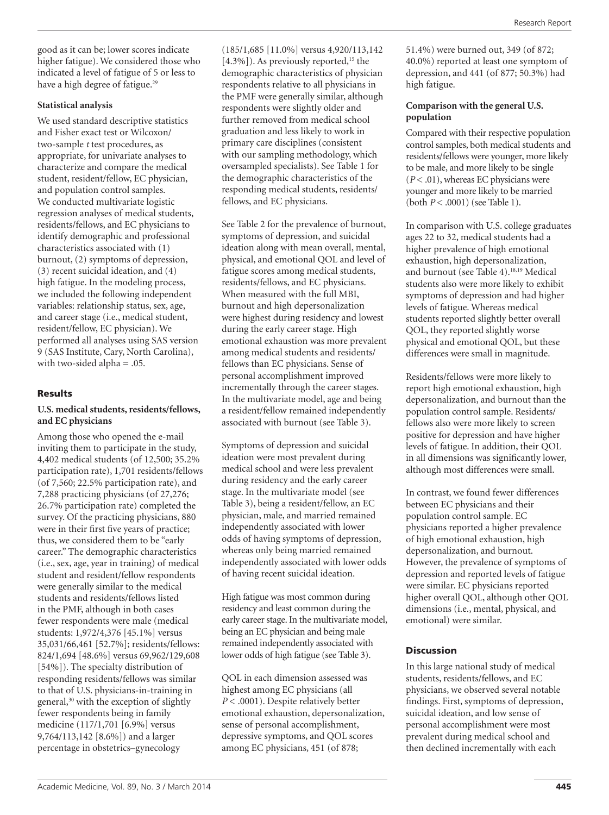good as it can be; lower scores indicate higher fatigue). We considered those who indicated a level of fatigue of 5 or less to have a high degree of fatigue.<sup>29</sup>

#### **Statistical analysis**

We used standard descriptive statistics and Fisher exact test or Wilcoxon/ two-sample *t* test procedures, as appropriate, for univariate analyses to characterize and compare the medical student, resident/fellow, EC physician, and population control samples. We conducted multivariate logistic regression analyses of medical students, residents/fellows, and EC physicians to identify demographic and professional characteristics associated with (1) burnout, (2) symptoms of depression, (3) recent suicidal ideation, and (4) high fatigue. In the modeling process, we included the following independent variables: relationship status, sex, age, and career stage (i.e., medical student, resident/fellow, EC physician). We performed all analyses using SAS version 9 (SAS Institute, Cary, North Carolina), with two-sided alpha = .05.

### Results

#### **U.S. medical students, residents/fellows, and EC physicians**

Among those who opened the e-mail inviting them to participate in the study, 4,402 medical students (of 12,500; 35.2% participation rate), 1,701 residents/fellows (of 7,560; 22.5% participation rate), and 7,288 practicing physicians (of 27,276; 26.7% participation rate) completed the survey. Of the practicing physicians, 880 were in their first five years of practice; thus, we considered them to be "early career." The demographic characteristics (i.e., sex, age, year in training) of medical student and resident/fellow respondents were generally similar to the medical students and residents/fellows listed in the PMF, although in both cases fewer respondents were male (medical students: 1,972/4,376 [45.1%] versus 35,031/66,461 [52.7%]; residents/fellows: 824/1,694 [48.6%] versus 69,962/129,608 [54%]). The specialty distribution of responding residents/fellows was similar to that of U.S. physicians-in-training in general,<sup>30</sup> with the exception of slightly fewer respondents being in family medicine (117/1,701 [6.9%] versus 9,764/113,142 [8.6%]) and a larger percentage in obstetrics–gynecology

(185/1,685 [11.0%] versus 4,920/113,142  $[4.3\%]$ ). As previously reported,<sup>15</sup> the demographic characteristics of physician respondents relative to all physicians in the PMF were generally similar, although respondents were slightly older and further removed from medical school graduation and less likely to work in primary care disciplines (consistent with our sampling methodology, which oversampled specialists). See Table 1 for the demographic characteristics of the responding medical students, residents/ fellows, and EC physicians.

See Table 2 for the prevalence of burnout, symptoms of depression, and suicidal ideation along with mean overall, mental, physical, and emotional QOL and level of fatigue scores among medical students, residents/fellows, and EC physicians. When measured with the full MBI, burnout and high depersonalization were highest during residency and lowest during the early career stage. High emotional exhaustion was more prevalent among medical students and residents/ fellows than EC physicians. Sense of personal accomplishment improved incrementally through the career stages. In the multivariate model, age and being a resident/fellow remained independently associated with burnout (see Table 3).

Symptoms of depression and suicidal ideation were most prevalent during medical school and were less prevalent during residency and the early career stage. In the multivariate model (see Table 3), being a resident/fellow, an EC physician, male, and married remained independently associated with lower odds of having symptoms of depression, whereas only being married remained independently associated with lower odds of having recent suicidal ideation.

High fatigue was most common during residency and least common during the early career stage. In the multivariate model, being an EC physician and being male remained independently associated with lower odds of high fatigue (see Table 3).

QOL in each dimension assessed was highest among EC physicians (all *P* < .0001). Despite relatively better emotional exhaustion, depersonalization, sense of personal accomplishment, depressive symptoms, and QOL scores among EC physicians, 451 (of 878;

51.4%) were burned out, 349 (of 872; 40.0%) reported at least one symptom of depression, and 441 (of 877; 50.3%) had high fatigue.

#### **Comparison with the general U.S. population**

Compared with their respective population control samples, both medical students and residents/fellows were younger, more likely to be male, and more likely to be single (*P* < .01), whereas EC physicians were younger and more likely to be married (both *P* < .0001) (see Table 1).

In comparison with U.S. college graduates ages 22 to 32, medical students had a higher prevalence of high emotional exhaustion, high depersonalization, and burnout (see Table 4).<sup>18,19</sup> Medical students also were more likely to exhibit symptoms of depression and had higher levels of fatigue. Whereas medical students reported slightly better overall QOL, they reported slightly worse physical and emotional QOL, but these differences were small in magnitude.

Residents/fellows were more likely to report high emotional exhaustion, high depersonalization, and burnout than the population control sample. Residents/ fellows also were more likely to screen positive for depression and have higher levels of fatigue. In addition, their QOL in all dimensions was significantly lower, although most differences were small.

In contrast, we found fewer differences between EC physicians and their population control sample. EC physicians reported a higher prevalence of high emotional exhaustion, high depersonalization, and burnout. However, the prevalence of symptoms of depression and reported levels of fatigue were similar. EC physicians reported higher overall QOL, although other QOL dimensions (i.e., mental, physical, and emotional) were similar.

#### **Discussion**

In this large national study of medical students, residents/fellows, and EC physicians, we observed several notable findings. First, symptoms of depression, suicidal ideation, and low sense of personal accomplishment were most prevalent during medical school and then declined incrementally with each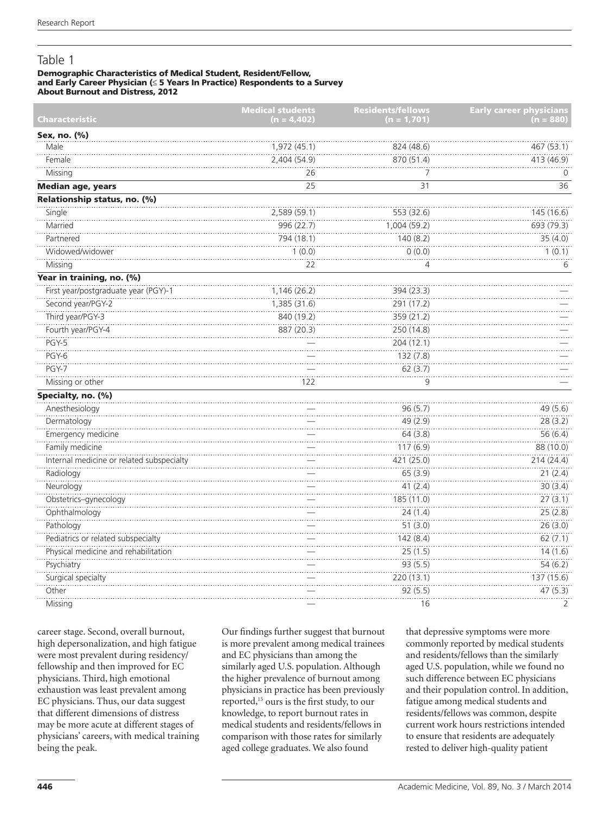#### Demographic Characteristics of Medical Student, Resident/Fellow, and Early Career Physician (≤ 5 Years In Practice) Respondents to a Survey About Burnout and Distress, 2012

|                                           | <b>Medical students</b> | <b>Residents/fellows</b> | <b>Early career physicians</b> |
|-------------------------------------------|-------------------------|--------------------------|--------------------------------|
| <b>Characteristic</b>                     | $(n = 4,402)$           | $(n = 1,701)$            | $(n = 880)$                    |
| Sex, no. (%)                              |                         |                          |                                |
| Male                                      | 1,972 (45.1)            | 824 (48.6)               | 467 (53.1)                     |
| Female                                    | 2,404 (54.9)            | 870 (51.4)               | 413 (46.9)                     |
| Missing                                   | 26                      | 7                        | $\mathbf{0}$                   |
| <b>Median age, years</b>                  | 25                      | 31                       | 36                             |
| Relationship status, no. (%)              |                         |                          |                                |
| Single                                    | 2,589 (59.1)            | 553 (32.6)               | 145 (16.6)                     |
| Married                                   | 996 (22.7)              | 1,004 (59.2)             | 693 (79.3)                     |
| Partnered                                 | 794 (18.1)              | 140(8.2)                 | 35(4.0)                        |
| Widowed/widower                           | 1(0.0)                  | 0(0.0)                   | 1(0.1)                         |
| Missing                                   | 22                      | 4                        | 6                              |
| Year in training, no. (%)                 |                         |                          |                                |
| First year/postgraduate year (PGY)-1      | 1,146 (26.2)            | 394 (23.3)               |                                |
| Second year/PGY-2                         | 1,385(31.6)             | 291(17.2)                |                                |
| Third year/PGY-3                          | 840 (19.2)              | 359 (21.2)               |                                |
| Fourth year/PGY-4                         | 887(20.3)               | 250 (14.8)               |                                |
| PGY-5                                     |                         | 204(12.1)                |                                |
| PGY-6                                     |                         | 132 (7.8)                |                                |
| PGY-7                                     |                         | 62(3.7)                  |                                |
| Missing or other                          | 122                     | 9                        |                                |
| Specialty, no. (%)                        |                         |                          |                                |
| Anesthesiology                            |                         | 96(5.7)                  | 49(5.6)                        |
| Dermatology                               |                         | 49(2.9)                  | 28(3.2)                        |
| Emergency medicine                        |                         | 64(3.8)                  | 56(6.4)                        |
| Family medicine                           |                         | 117(6.9)                 | 88 (10.0)                      |
| Internal medicine or related subspecialty |                         | 421(25.0)                | 214(24.4)                      |
| Radiology                                 |                         | 65(3.9)                  | 21(2.4)                        |
| Neurology                                 |                         | 41(2.4)                  | 30(3.4)                        |
| Obstetrics-gynecology                     |                         | 185 (11.0)               | 27(3.1)                        |
| Ophthalmology                             |                         | 24(1.4)                  | 25(2.8)                        |
| Pathology                                 |                         | 51(3.0)                  | 26(3.0)                        |
| Pediatrics or related subspecialty        |                         | 142(8.4)                 | 62(7.1)                        |
| Physical medicine and rehabilitation      |                         | 25(1.5)                  | 14(1.6)                        |
| Psychiatry                                |                         | 93(5.5)                  | 54(6.2)                        |
| Surgical specialty                        |                         | 220(13.1)                | 137(15.6)                      |
| Other                                     |                         | 92(5.5)                  | 47(5.3)                        |
| Missing                                   |                         | 16                       | 2                              |

career stage. Second, overall burnout, high depersonalization, and high fatigue were most prevalent during residency/ fellowship and then improved for EC physicians. Third, high emotional exhaustion was least prevalent among EC physicians. Thus, our data suggest that different dimensions of distress may be more acute at different stages of physicians' careers, with medical training being the peak.

Our findings further suggest that burnout is more prevalent among medical trainees and EC physicians than among the similarly aged U.S. population. Although the higher prevalence of burnout among physicians in practice has been previously reported,15 ours is the first study, to our knowledge, to report burnout rates in medical students and residents/fellows in comparison with those rates for similarly aged college graduates. We also found

that depressive symptoms were more commonly reported by medical students and residents/fellows than the similarly aged U.S. population, while we found no such difference between EC physicians and their population control. In addition, fatigue among medical students and residents/fellows was common, despite current work hours restrictions intended to ensure that residents are adequately rested to deliver high-quality patient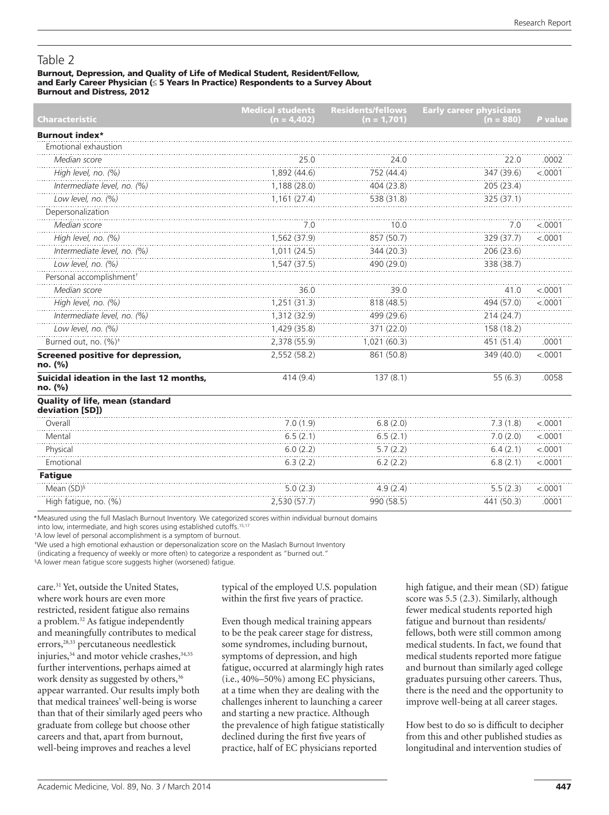Burnout, Depression, and Quality of Life of Medical Student, Resident/Fellow, and Early Career Physician (≤ 5 Years In Practice) Respondents to a Survey About Burnout and Distress, 2012

|                                                     | <b>Medical students</b> | <b>Residents/fellows</b> | <b>Early career physicians</b> |         |
|-----------------------------------------------------|-------------------------|--------------------------|--------------------------------|---------|
| <b>Characteristic</b>                               | $(n = 4, 402)$          | $(n = 1,701)$            | $(n = 880)$                    | P value |
| <b>Burnout index*</b>                               |                         |                          |                                |         |
| Emotional exhaustion                                |                         |                          |                                |         |
| Median score                                        | 25.0                    | 24.0                     | 22.0<br>.                      | .0002   |
| High level, no. (%)                                 | 1,892 (44.6)            | 752 (44.4)               | 347 (39.6)                     | < .0001 |
| Intermediate level, no. (%)                         | 1,188(28.0)             | 404 (23.8)               | 205 (23.4)                     |         |
| Low level, no. (%)                                  | 1,161(27.4)             | 538 (31.8)               | 325 (37.1)                     |         |
| Depersonalization                                   |                         |                          |                                |         |
| Median score                                        | 7.0                     | 10.0                     | 7.0                            | < .0001 |
| High level, no. (%)                                 | 1,562 (37.9)            | 857 (50.7)               | 329 (37.7)                     | < .0001 |
| Intermediate level, no. (%)                         | 1,011(24.5)             | 344 (20.3)               | 206 (23.6)                     |         |
| Low level, no. (%)                                  | 1,547 (37.5)            | 490 (29.0)               | 338 (38.7)                     |         |
| Personal accomplishment <sup>+</sup>                |                         |                          |                                |         |
| Median score                                        | 36.0                    | 39.0                     | 41.0                           | < .0001 |
| High level, no. (%)                                 | 1,251 (31.3)            | 818 (48.5)               | 494 (57.0)                     | < .0001 |
| Intermediate level, no. (%)                         | 1,312 (32.9)            | 499 (29.6)               | 214(24.7)                      |         |
| Low level, no. (%)                                  | 1,429 (35.8)            | 371 (22.0)               | 158 (18.2)                     |         |
| Burned out, no. (%) <sup>+</sup>                    | 2,378 (55.9)            | 1,021 (60.3)             | 451 (51.4)                     | .0001   |
| <b>Screened positive for depression,</b><br>no. (%) | 2,552 (58.2)            | 861 (50.8)               | 349 (40.0)                     | < .0001 |
| Suicidal ideation in the last 12 months,<br>no. (%) | 414(9.4)                | 137(8.1)                 | 55(6.3)                        | .0058   |
| Quality of life, mean (standard<br>deviation [SD])  |                         |                          |                                |         |
| Overall                                             | 7.0(1.9)                | 6.8(2.0)                 | 7.3(1.8)                       | < .0001 |
| Mental                                              | 6.5(2.1)                | 6.5(2.1)                 | 7.0(2.0)                       | < .0001 |
| Physical                                            | 6.0(2.2)                | 5.7(2.2)                 | 6.4(2.1)                       | < .0001 |
| Emotional                                           | 6.3(2.2)                | 6.2(2.2)                 | 6.8(2.1)                       | < .0001 |
| <b>Fatigue</b>                                      |                         |                          |                                |         |
| Mean $(SD)^s$                                       | 5.0(2.3)                | 4.9(2.4)                 | 5.5(2.3)                       | < .0001 |
| High fatigue, no. (%)                               | 2,530(57.7)             | 990 (58.5)               | 441 (50.3)                     | .0001   |

\*Measured using the full Maslach Burnout Inventory. We categorized scores within individual burnout domains

into low, intermediate, and high scores using established cutoffs.<sup>15,17</sup>

†A low level of personal accomplishment is a symptom of burnout.

‡We used a high emotional exhaustion or depersonalization score on the Maslach Burnout Inventory

(indicating a frequency of weekly or more often) to categorize a respondent as "burned out."

§A lower mean fatigue score suggests higher (worsened) fatigue.

care.31 Yet, outside the United States, where work hours are even more restricted, resident fatigue also remains a problem.32 As fatigue independently and meaningfully contributes to medical errors,28,33 percutaneous needlestick injuries,<sup>34</sup> and motor vehicle crashes,<sup>34,35</sup> further interventions, perhaps aimed at work density as suggested by others,<sup>36</sup> appear warranted. Our results imply both that medical trainees' well-being is worse than that of their similarly aged peers who graduate from college but choose other careers and that, apart from burnout, well-being improves and reaches a level

typical of the employed U.S. population within the first five years of practice.

Even though medical training appears to be the peak career stage for distress, some syndromes, including burnout, symptoms of depression, and high fatigue, occurred at alarmingly high rates (i.e., 40%–50%) among EC physicians, at a time when they are dealing with the challenges inherent to launching a career and starting a new practice. Although the prevalence of high fatigue statistically declined during the first five years of practice, half of EC physicians reported

high fatigue, and their mean (SD) fatigue score was 5.5 (2.3). Similarly, although fewer medical students reported high fatigue and burnout than residents/ fellows, both were still common among medical students. In fact, we found that medical students reported more fatigue and burnout than similarly aged college graduates pursuing other careers. Thus, there is the need and the opportunity to improve well-being at all career stages.

How best to do so is difficult to decipher from this and other published studies as longitudinal and intervention studies of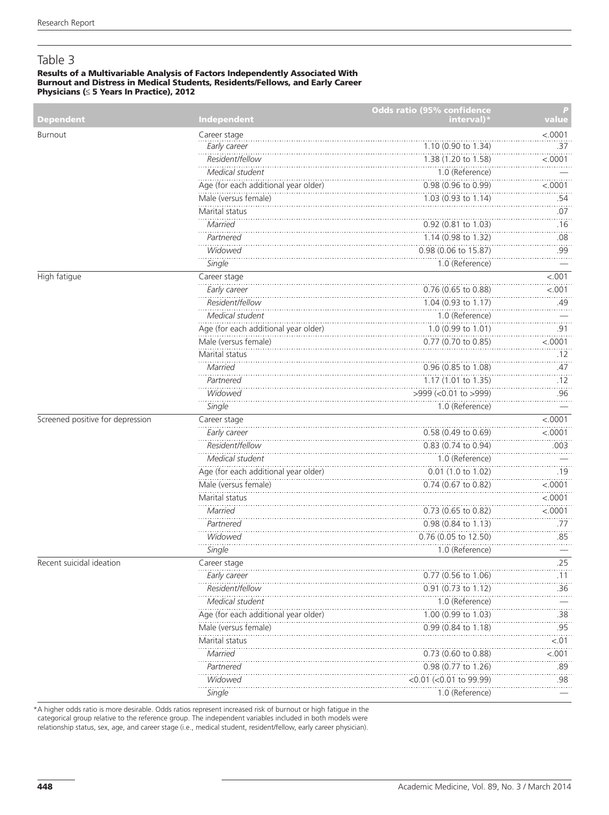#### Results of a Multivariable Analysis of Factors Independently Associated With Burnout and Distress in Medical Students, Residents/Fellows, and Early Career Physicians (≤ 5 Years In Practice), 2012

|                                  |                                      | Odds ratio (95% confidence                           | $\overline{P}$ |
|----------------------------------|--------------------------------------|------------------------------------------------------|----------------|
| <b>Dependent</b>                 | Independent                          | interval) <sup>*</sup>                               | value          |
| Burnout                          | Career stage                         |                                                      | < .0001        |
|                                  | Early career                         | 1.10 (0.90 to 1.34)                                  | .37            |
|                                  | Resident/fellow                      | $1.38(1.20 \text{ to } 1.58)$                        | < .0001        |
|                                  | Medical student                      | $1.0$ (Reference)                                    |                |
|                                  | Age (for each additional year older) | 0.98 (0.96 to 0.99)                                  | < .0001<br>.   |
|                                  | Male (versus female)                 | 1.03 (0.93 to 1.14)                                  | .54            |
|                                  | Marital status                       |                                                      | .07            |
|                                  | Married                              | $0.92$ (0.81 to 1.03)                                | .<br>.16       |
|                                  | Partnered                            | 1.14 (0.98 to 1.32)                                  | .<br>.08       |
|                                  | Widowed                              | 0.98 (0.06 to 15.87)                                 | .<br>.99       |
|                                  | Single                               | 1.0 (Reference)                                      | .              |
| High fatigue                     | Career stage                         |                                                      | < .001         |
|                                  | Early career                         | 0.76 (0.65 to 0.88)                                  | < .001         |
|                                  | Resident/fellow                      | 1.04 (0.93 to 1.17)                                  | .<br>.49       |
|                                  | Medical student                      | $1.0$ (Reference)                                    |                |
|                                  | Age (for each additional year older) | $1.0(0.99 \text{ to } 1.01)$                         | .91            |
|                                  | Male (versus female)                 | $0.77$ (0.70 to 0.85)                                | .<br>< .0001   |
|                                  | Marital status                       |                                                      | .<br>.12       |
|                                  | Married                              | $0.96(0.85 \text{ to } 1.08)$                        | .47            |
|                                  | Partnered                            | 1.17 (1.01 to 1.35)                                  | .<br>.12       |
|                                  | Widowed                              | >999 (<0.01 to >999)                                 | .<br>.96       |
|                                  | Single                               | 1.0 (Reference)                                      |                |
| Screened positive for depression | Career stage                         |                                                      | < .0001        |
|                                  | Early career                         | 0.58 (0.49 to 0.69)                                  | < .0001        |
|                                  | Resident/fellow                      | 0.83 (0.74 to 0.94)                                  | .003           |
|                                  | Medical student                      | 1.0 (Reference)                                      |                |
|                                  | Age (for each additional year older) | 0.01 (1.0 to 1.02)                                   | .19            |
|                                  | Male (versus female)                 | 0.74 (0.67 to 0.82)                                  | < .0001        |
|                                  | Marital status                       |                                                      | < .0001        |
|                                  | Married                              | 0.73 (0.65 to 0.82)                                  | < .0001        |
|                                  | Partnered                            | 0.98 (0.84 to 1.13)                                  | .77            |
|                                  | Widowed                              | 0.76 (0.05 to 12.50)                                 | .<br>.85       |
|                                  | Single                               | 1.0 (Reference)                                      | .              |
| Recent suicidal ideation         | Career stage                         |                                                      | .25            |
|                                  | Early career                         | $0.77$ (0.56 to 1.06)                                | .11            |
|                                  | Resident/fellow                      | $0.91$ (0.73 to 1.12)                                | .36            |
|                                  | Medical student                      | 1.0 (Reference)                                      |                |
|                                  | Age (for each additional year older) | 1.00 (0.99 to 1.03)                                  | .38            |
|                                  | Male (versus female)                 | 0.99 (0.84 to 1.18)                                  | .<br>.95       |
|                                  | Marital status                       |                                                      | .<br>< .01     |
|                                  | Married                              | $0.73(0.60)$ to $0.88$                               | < .001         |
|                                  | .                                    |                                                      | .              |
|                                  | Partnered                            |                                                      | .89            |
|                                  | Widowed                              | 0.98 (0.77 to 1.26)<br>$<$ 0.01 ( $<$ 0.01 to 99.99) | .98            |

\*A higher odds ratio is more desirable. Odds ratios represent increased risk of burnout or high fatigue in the

categorical group relative to the reference group. The independent variables included in both models were relationship status, sex, age, and career stage (i.e., medical student, resident/fellow, early career physician).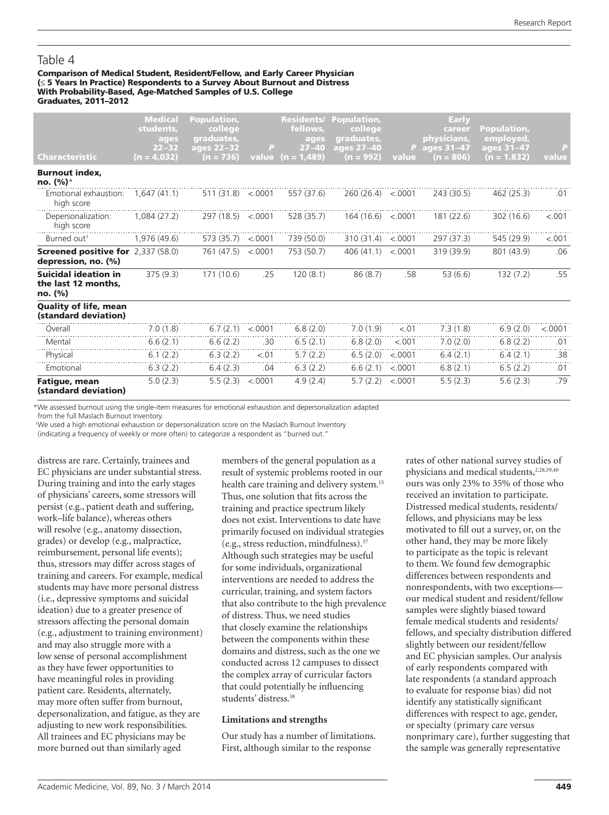#### Comparison of Medical Student, Resident/Fellow, and Early Career Physician (≤ 5 Years In Practice) Respondents to a Survey About Burnout and Distress With Probability-Based, Age-Matched Samples of U.S. College Graduates, 2011–2012

| <b>Characteristic</b>                                            | <b>Medical</b><br>students,<br>ages<br>$22 - 32$<br>$(n = 4,032)$ | <b>Population,</b><br>college<br>graduates,<br>ages 22-32<br>$(n = 736)$ | P       | <b>Residents/</b><br>fellows.<br>ages<br>$27 - 40$<br>value $(n = 1,489)$ | <b>Population.</b><br>college<br>graduates,<br>ages 27-40<br>(n = 992) | value   | <b>Early</b><br>career<br>physicians,<br>$P$ ages 31-47<br>(n = 806) | <b>Population,</b><br>employed,<br>ages 31-47<br>$(n = 1,832)$ | value   |
|------------------------------------------------------------------|-------------------------------------------------------------------|--------------------------------------------------------------------------|---------|---------------------------------------------------------------------------|------------------------------------------------------------------------|---------|----------------------------------------------------------------------|----------------------------------------------------------------|---------|
| <b>Burnout index.</b><br>no. $(\%)^*$                            |                                                                   |                                                                          |         |                                                                           |                                                                        |         |                                                                      |                                                                |         |
| Emotional exhaustion:<br>high score                              | 1.647(41.1)                                                       | 511(31.8) < .0001                                                        |         | 557 (37.6)                                                                | 260(26.4) < .0001                                                      |         | 243 (30.5)                                                           | 462 (25.3)                                                     | .01     |
| Depersonalization:<br>high score                                 | 1,084(27.2)                                                       | 297(18.5) < 0001                                                         |         | 528 (35.7)                                                                | 164(16.6) < .0001                                                      |         | 181 (22.6)                                                           | 302 (16.6)                                                     | < .001  |
| Burned out <sup>+</sup>                                          | 1.976(49.6)                                                       | 573 (35.7)                                                               | < .0001 | 739 (50.0)                                                                | 310 (31.4)                                                             | < .0001 | 297 (37.3)                                                           | 545 (29.9)                                                     | < .001  |
| <b>Screened positive for</b> 2,337 (58.0)<br>depression, no. (%) |                                                                   | 761 (47.5)                                                               | < .0001 | 753 (50.7)                                                                | 406(41.1)                                                              | < .0001 | 319 (39.9)                                                           | 801 (43.9)                                                     | .06     |
| <b>Suicidal ideation in</b><br>the last 12 months,<br>no. (%)    | 375(9.3)                                                          | 171 (10.6)                                                               | .25     | 120(8.1)                                                                  | 86(8.7)                                                                | .58     | 53(6.6)                                                              | 132(7.2)                                                       | .55     |
| <b>Quality of life, mean</b><br>(standard deviation)             |                                                                   |                                                                          |         |                                                                           |                                                                        |         |                                                                      |                                                                |         |
| Overall                                                          | 7.0(1.8)                                                          | 6.7(2.1)                                                                 | < .0001 | 6.8(2.0)                                                                  | 7.0(1.9)                                                               | < .01   | 7.3(1.8)                                                             | 6.9(2.0)                                                       | < .0001 |
| Mental                                                           | 6.6(2.1)                                                          | 6.6(2.2)                                                                 | .30     | 6.5(2.1)                                                                  | 6.8(2.0)                                                               | < .001  | 7.0(2.0)                                                             | 6.8(2.2)                                                       | .01     |
| Physical                                                         | 6.1(2.2)                                                          | 6.3(2.2)                                                                 | < .01   | 5.7(2.2)                                                                  | 6.5(2.0)                                                               | < .0001 | 6.4(2.1)                                                             | 6.4(2.1)                                                       | .38     |
| Emotional                                                        | 6.3(2.2)                                                          | 6.4(2.3)                                                                 | .04     | 6.3(2.2)                                                                  | 6.6(2.1)                                                               | < .0001 | 6.8(2.1)                                                             | 6.5(2.2)                                                       | .01     |
| <b>Fatique, mean</b><br>(standard deviation)                     | 5.0(2.3)                                                          | 5.5(2.3)                                                                 | < .0001 | 4.9(2.4)                                                                  | 5.7(2.2)                                                               | < .0001 | 5.5(2.3)                                                             | 5.6(2.3)                                                       | .79     |

\*We assessed burnout using the single-item measures for emotional exhaustion and depersonalization adapted

from the full Maslach Burnout Inventory.

† We used a high emotional exhaustion or depersonalization score on the Maslach Burnout Inventory

(indicating a frequency of weekly or more often) to categorize a respondent as "burned out."

distress are rare. Certainly, trainees and EC physicians are under substantial stress. During training and into the early stages of physicians' careers, some stressors will persist (e.g., patient death and suffering, work–life balance), whereas others will resolve (e.g., anatomy dissection, grades) or develop (e.g., malpractice, reimbursement, personal life events); thus, stressors may differ across stages of training and careers. For example, medical students may have more personal distress (i.e., depressive symptoms and suicidal ideation) due to a greater presence of stressors affecting the personal domain (e.g., adjustment to training environment) and may also struggle more with a low sense of personal accomplishment as they have fewer opportunities to have meaningful roles in providing patient care. Residents, alternately, may more often suffer from burnout, depersonalization, and fatigue, as they are adjusting to new work responsibilities. All trainees and EC physicians may be more burned out than similarly aged

members of the general population as a result of systemic problems rooted in our health care training and delivery system.<sup>15</sup> Thus, one solution that fits across the training and practice spectrum likely does not exist. Interventions to date have primarily focused on individual strategies (e.g., stress reduction, mindfulness).37 Although such strategies may be useful for some individuals, organizational interventions are needed to address the curricular, training, and system factors that also contribute to the high prevalence of distress. Thus, we need studies that closely examine the relationships between the components within these domains and distress, such as the one we conducted across 12 campuses to dissect the complex array of curricular factors that could potentially be influencing students' distress.38

#### **Limitations and strengths**

Our study has a number of limitations. First, although similar to the response

rates of other national survey studies of physicians and medical students, 2,28,39,40 ours was only 23% to 35% of those who received an invitation to participate. Distressed medical students, residents/ fellows, and physicians may be less motivated to fill out a survey, or, on the other hand, they may be more likely to participate as the topic is relevant to them. We found few demographic differences between respondents and nonrespondents, with two exceptions our medical student and resident/fellow samples were slightly biased toward female medical students and residents/ fellows, and specialty distribution differed slightly between our resident/fellow and EC physician samples. Our analysis of early respondents compared with late respondents (a standard approach to evaluate for response bias) did not identify any statistically significant differences with respect to age, gender, or specialty (primary care versus nonprimary care), further suggesting that the sample was generally representative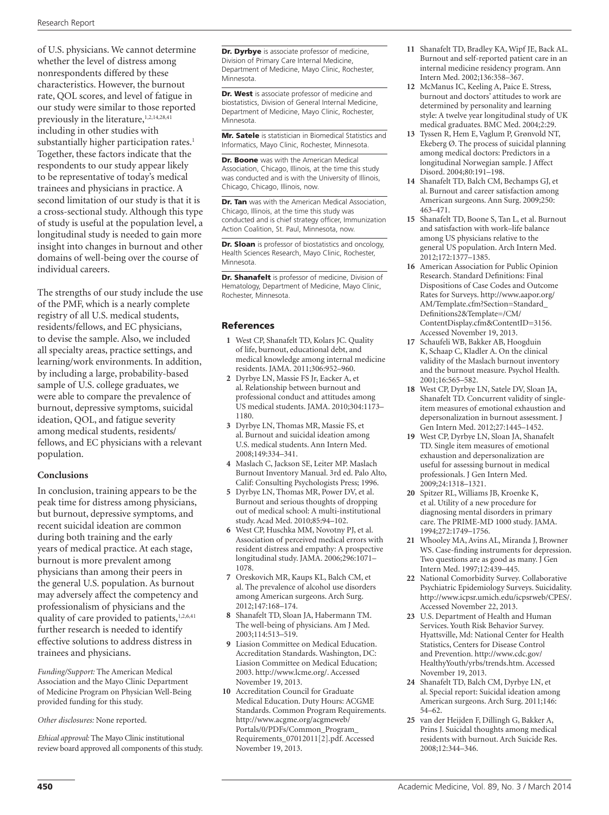of U.S. physicians. We cannot determine whether the level of distress among nonrespondents differed by these characteristics. However, the burnout rate, QOL scores, and level of fatigue in our study were similar to those reported previously in the literature,<sup>1,2,14,28,41</sup> including in other studies with substantially higher participation rates.<sup>1</sup> Together, these factors indicate that the respondents to our study appear likely to be representative of today's medical trainees and physicians in practice. A second limitation of our study is that it is a cross-sectional study. Although this type of study is useful at the population level, a longitudinal study is needed to gain more insight into changes in burnout and other domains of well-being over the course of individual careers.

The strengths of our study include the use of the PMF, which is a nearly complete registry of all U.S. medical students, residents/fellows, and EC physicians, to devise the sample. Also, we included all specialty areas, practice settings, and learning/work environments. In addition, by including a large, probability-based sample of U.S. college graduates, we were able to compare the prevalence of burnout, depressive symptoms, suicidal ideation, QOL, and fatigue severity among medical students, residents/ fellows, and EC physicians with a relevant population.

#### **Conclusions**

In conclusion, training appears to be the peak time for distress among physicians, but burnout, depressive symptoms, and recent suicidal ideation are common during both training and the early years of medical practice. At each stage, burnout is more prevalent among physicians than among their peers in the general U.S. population. As burnout may adversely affect the competency and professionalism of physicians and the quality of care provided to patients,<sup>1,2,6,41</sup> further research is needed to identify effective solutions to address distress in trainees and physicians.

*Funding/Support:* The American Medical Association and the Mayo Clinic Department of Medicine Program on Physician Well-Being provided funding for this study.

*Other disclosures:* None reported.

*Ethical approval:* The Mayo Clinic institutional review board approved all components of this study. Dr. Dyrbye is associate professor of medicine, Division of Primary Care Internal Medicine, Department of Medicine, Mayo Clinic, Rochester, Minnesota.

**Dr. West** is associate professor of medicine and biostatistics, Division of General Internal Medicine, Department of Medicine, Mayo Clinic, Rochester, Minnesota.

Mr. Satele is statistician in Biomedical Statistics and Informatics, Mayo Clinic, Rochester, Minnesota.

Dr. Boone was with the American Medical Association, Chicago, Illinois, at the time this study was conducted and is with the University of Illinois, Chicago, Chicago, Illinois, now.

Dr. Tan was with the American Medical Association, Chicago, Illinois, at the time this study was conducted and is chief strategy officer, Immunization Action Coalition, St. Paul, Minnesota, now.

Dr. Sloan is professor of biostatistics and oncology, Health Sciences Research, Mayo Clinic, Rochester, Minnesota.

Dr. Shanafelt is professor of medicine, Division of Hematology, Department of Medicine, Mayo Clinic, Rochester, Minnesota.

### References

- **1** West CP, Shanafelt TD, Kolars JC. Quality of life, burnout, educational debt, and medical knowledge among internal medicine residents. JAMA. 2011;306:952–960.
- **2** Dyrbye LN, Massie FS Jr, Eacker A, et al. Relationship between burnout and professional conduct and attitudes among US medical students. JAMA. 2010;304:1173– 1180.
- **3** Dyrbye LN, Thomas MR, Massie FS, et al. Burnout and suicidal ideation among U.S. medical students. Ann Intern Med. 2008;149:334–341.
- **4** Maslach C, Jackson SE, Leiter MP. Maslach Burnout Inventory Manual. 3rd ed. Palo Alto, Calif: Consulting Psychologists Press; 1996.
- **5** Dyrbye LN, Thomas MR, Power DV, et al. Burnout and serious thoughts of dropping out of medical school: A multi-institutional study. Acad Med. 2010;85:94–102.
- **6** West CP, Huschka MM, Novotny PJ, et al. Association of perceived medical errors with resident distress and empathy: A prospective longitudinal study. JAMA. 2006;296:1071– 1078.
- **7** Oreskovich MR, Kaups KL, Balch CM, et al. The prevalence of alcohol use disorders among American surgeons. Arch Surg. 2012;147:168–174.
- **8** Shanafelt TD, Sloan JA, Habermann TM. The well-being of physicians. Am J Med. 2003;114:513–519.
- **9** Liasion Committee on Medical Education. Accreditation Standards. Washington, DC: Liasion Committee on Medical Education; 2003.<http://www.lcme.org/>. Accessed November 19, 2013.
- **10** Accreditation Council for Graduate Medical Education. Duty Hours: ACGME Standards. Common Program Requirements. [http://www.acgme.org/acgmeweb/](http://www.acgme.org/acgmeweb/Portals/0/PDFs/Common_Program_Requirements_07012011[2].pdf) [Portals/0/PDFs/Common\\_Program\\_](http://www.acgme.org/acgmeweb/Portals/0/PDFs/Common_Program_Requirements_07012011[2].pdf) [Requirements\\_07012011\[2\].pdf](http://www.acgme.org/acgmeweb/Portals/0/PDFs/Common_Program_Requirements_07012011[2].pdf). Accessed November 19, 2013.
- **11** Shanafelt TD, Bradley KA, Wipf JE, Back AL. Burnout and self-reported patient care in an internal medicine residency program. Ann Intern Med. 2002;136:358–367.
- **12** McManus IC, Keeling A, Paice E. Stress, burnout and doctors' attitudes to work are determined by personality and learning style: A twelve year longitudinal study of UK medical graduates. BMC Med. 2004;2:29.
- **13** Tyssen R, Hem E, Vaglum P, Grønvold NT, Ekeberg Ø. The process of suicidal planning among medical doctors: Predictors in a longitudinal Norwegian sample. J Affect Disord. 2004;80:191–198.
- **14** Shanafelt TD, Balch CM, Bechamps GJ, et al. Burnout and career satisfaction among American surgeons. Ann Surg. 2009;250: 463–471.
- **15** Shanafelt TD, Boone S, Tan L, et al. Burnout and satisfaction with work–life balance among US physicians relative to the general US population. Arch Intern Med. 2012;172:1377–1385.
- **16** American Association for Public Opinion Research. Standard Definitions: Final Dispositions of Case Codes and Outcome Rates for Surveys. [http://www.aapor.org/](http://www.aapor.org/AM/Template.cfm?Section=Standard_Definitions2 & Template=/CM/ContentDisplay.cfm & ContentID=3156) [AM/Template.cfm?Section=Standard\\_](http://www.aapor.org/AM/Template.cfm?Section=Standard_Definitions2 & Template=/CM/ContentDisplay.cfm & ContentID=3156) [Definitions2&Template=/CM/](http://www.aapor.org/AM/Template.cfm?Section=Standard_Definitions2 & Template=/CM/ContentDisplay.cfm & ContentID=3156) [ContentDisplay.cfm&ContentID=3156](http://www.aapor.org/AM/Template.cfm?Section=Standard_Definitions2 & Template=/CM/ContentDisplay.cfm & ContentID=3156). Accessed November 19, 2013.
- **17** Schaufeli WB, Bakker AB, Hoogduin K, Schaap C, Kladler A. On the clinical validity of the Maslach burnout inventory and the burnout measure. Psychol Health. 2001;16:565–582.
- **18** West CP, Dyrbye LN, Satele DV, Sloan JA, Shanafelt TD. Concurrent validity of singleitem measures of emotional exhaustion and depersonalization in burnout assessment. J Gen Intern Med. 2012;27:1445–1452.
- **19** West CP, Dyrbye LN, Sloan JA, Shanafelt TD. Single item measures of emotional exhaustion and depersonalization are useful for assessing burnout in medical professionals. J Gen Intern Med. 2009;24:1318–1321.
- **20** Spitzer RL, Williams JB, Kroenke K, et al. Utility of a new procedure for diagnosing mental disorders in primary care. The PRIME-MD 1000 study. JAMA. 1994;272:1749–1756.
- **21** Whooley MA, Avins AL, Miranda J, Browner WS. Case-finding instruments for depression. Two questions are as good as many. J Gen Intern Med. 1997;12:439–445.
- **22** National Comorbidity Survey. Collaborative Psychiatric Epidemiology Surveys. Suicidality. <http://www.icpsr.umich.edu/icpsrweb/CPES/>. Accessed November 22, 2013.
- **23** U.S. Department of Health and Human Services. Youth Risk Behavior Survey. Hyattsville, Md: National Center for Health Statistics, Centers for Disease Control and Prevention. [http://www.cdc.gov/](http://www.cdc.gov/HealthyYouth/yrbs/trends.htm) [HealthyYouth/yrbs/trends.htm.](http://www.cdc.gov/HealthyYouth/yrbs/trends.htm) Accessed November 19, 2013.
- **24** Shanafelt TD, Balch CM, Dyrbye LN, et al. Special report: Suicidal ideation among American surgeons. Arch Surg. 2011;146: 54–62.
- **25** van der Heijden F, Dillingh G, Bakker A, Prins J. Suicidal thoughts among medical residents with burnout. Arch Suicide Res. 2008;12:344–346.